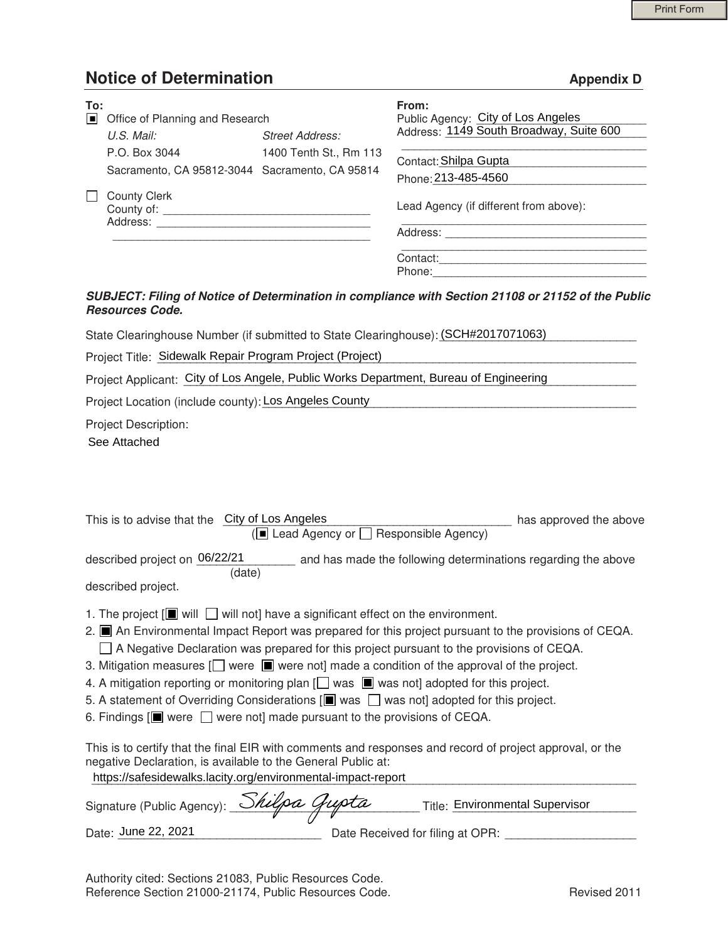## **Notice of Determination Appendix D Appendix D**

| To:<br>Iш | Office of Planning and Research                                 |                        | From:<br>Public Agency: City of Los Angeles  |
|-----------|-----------------------------------------------------------------|------------------------|----------------------------------------------|
|           | U.S. Mail:                                                      | <b>Street Address:</b> | Address: 1149 South Broadway, Suite 600      |
|           | P.O. Box 3044<br>Sacramento, CA 95812-3044 Sacramento, CA 95814 | 1400 Tenth St., Rm 113 | Contact: Shilpa Gupta<br>Phone: 213-485-4560 |
|           | <b>County Clerk</b><br>County of: _____<br>Address:             |                        | Lead Agency (if different from above):       |
|           |                                                                 |                        | Address:                                     |
|           |                                                                 |                        | Contact:<br>Phone:                           |

## *SUBJECT: Filing of Notice of Determination in compliance with Section 21108 or 21152 of the Public Resources Code.*

| Project Title: Sidewalk Repair Program Project (Project) |
|----------------------------------------------------------|
|                                                          |

|  | Project Applicant: City of Los Angele, Public Works Department, Bureau of Engineering |  |
|--|---------------------------------------------------------------------------------------|--|
|  |                                                                                       |  |

|        | ■ Office of Planning and Research                                                                                                                                                                          |                                         | Public Agency: City of Los Angeles                                                                                                                                                                                                                                                                                                                                                                                                                                                                                                    |  |
|--------|------------------------------------------------------------------------------------------------------------------------------------------------------------------------------------------------------------|-----------------------------------------|---------------------------------------------------------------------------------------------------------------------------------------------------------------------------------------------------------------------------------------------------------------------------------------------------------------------------------------------------------------------------------------------------------------------------------------------------------------------------------------------------------------------------------------|--|
|        | U.S. Mail:                                                                                                                                                                                                 | <b>Street Address:</b>                  | Address: 1149 South Broadway, Suite 600                                                                                                                                                                                                                                                                                                                                                                                                                                                                                               |  |
|        | P.O. Box 3044                                                                                                                                                                                              | 1400 Tenth St., Rm 113                  | Contact: Shilpa Gupta                                                                                                                                                                                                                                                                                                                                                                                                                                                                                                                 |  |
|        | Sacramento, CA 95812-3044 Sacramento, CA 95814                                                                                                                                                             |                                         | Phone: 213-485-4560                                                                                                                                                                                                                                                                                                                                                                                                                                                                                                                   |  |
| $\Box$ | <b>County Clerk</b>                                                                                                                                                                                        |                                         |                                                                                                                                                                                                                                                                                                                                                                                                                                                                                                                                       |  |
|        |                                                                                                                                                                                                            |                                         | Lead Agency (if different from above):                                                                                                                                                                                                                                                                                                                                                                                                                                                                                                |  |
|        |                                                                                                                                                                                                            |                                         |                                                                                                                                                                                                                                                                                                                                                                                                                                                                                                                                       |  |
|        |                                                                                                                                                                                                            |                                         |                                                                                                                                                                                                                                                                                                                                                                                                                                                                                                                                       |  |
|        |                                                                                                                                                                                                            |                                         |                                                                                                                                                                                                                                                                                                                                                                                                                                                                                                                                       |  |
|        | <b>Resources Code.</b>                                                                                                                                                                                     |                                         | SUBJECT: Filing of Notice of Determination in compliance with Section 21108 or 21152 of the Publi                                                                                                                                                                                                                                                                                                                                                                                                                                     |  |
|        |                                                                                                                                                                                                            |                                         | State Clearinghouse Number (if submitted to State Clearinghouse): (SCH#2017071063)                                                                                                                                                                                                                                                                                                                                                                                                                                                    |  |
|        | Project Title: Sidewalk Repair Program Project (Project)                                                                                                                                                   |                                         |                                                                                                                                                                                                                                                                                                                                                                                                                                                                                                                                       |  |
|        |                                                                                                                                                                                                            |                                         | Project Applicant: City of Los Angele, Public Works Department, Bureau of Engineering                                                                                                                                                                                                                                                                                                                                                                                                                                                 |  |
|        | Project Location (include county): Los Angeles County                                                                                                                                                      |                                         |                                                                                                                                                                                                                                                                                                                                                                                                                                                                                                                                       |  |
|        | This is to advise that the City of Los Angeles                                                                                                                                                             | (■ Lead Agency or □ Responsible Agency) | has approved the above                                                                                                                                                                                                                                                                                                                                                                                                                                                                                                                |  |
|        |                                                                                                                                                                                                            |                                         | described project on 06/22/21 and has made the following determinations regarding the above                                                                                                                                                                                                                                                                                                                                                                                                                                           |  |
|        | (date)                                                                                                                                                                                                     |                                         |                                                                                                                                                                                                                                                                                                                                                                                                                                                                                                                                       |  |
|        | described project.                                                                                                                                                                                         |                                         |                                                                                                                                                                                                                                                                                                                                                                                                                                                                                                                                       |  |
|        | 1. The project $[\blacksquare]$ will $\blacksquare$ will not] have a significant effect on the environment.<br>6. Findings $[\blacksquare]$ were $\Box$ were not] made pursuant to the provisions of CEQA. |                                         | 2. ■ An Environmental Impact Report was prepared for this project pursuant to the provisions of CEQA.<br>□ A Negative Declaration was prepared for this project pursuant to the provisions of CEQA.<br>3. Mitigation measures $\Box$ were $\blacksquare$ were not] made a condition of the approval of the project.<br>4. A mitigation reporting or monitoring plan $\Box$ was $\Box$ was not] adopted for this project.<br>5. A statement of Overriding Considerations $[\blacksquare]$ was $\Box$ was not adopted for this project. |  |
|        | negative Declaration, is available to the General Public at:<br>https://safesidewalks.lacity.org/environmental-impact-report                                                                               |                                         | This is to certify that the final EIR with comments and responses and record of project approval, or the                                                                                                                                                                                                                                                                                                                                                                                                                              |  |
|        | Signature (Public Agency): __                                                                                                                                                                              |                                         | Title: Environmental Supervisor                                                                                                                                                                                                                                                                                                                                                                                                                                                                                                       |  |
|        | Date: June 22, 2021                                                                                                                                                                                        |                                         | Date Received for filing at OPR:                                                                                                                                                                                                                                                                                                                                                                                                                                                                                                      |  |

| Signature (Public Agency): Shilpa Gupta |                                  | Title: Environmental Supervisor |
|-----------------------------------------|----------------------------------|---------------------------------|
| Date: June 22, 2021                     | Date Received for filing at OPR: |                                 |

 Authority cited: Sections 21083, Public Resources Code. Reference Section 21000-21174, Public Resources Code. Revised 2011